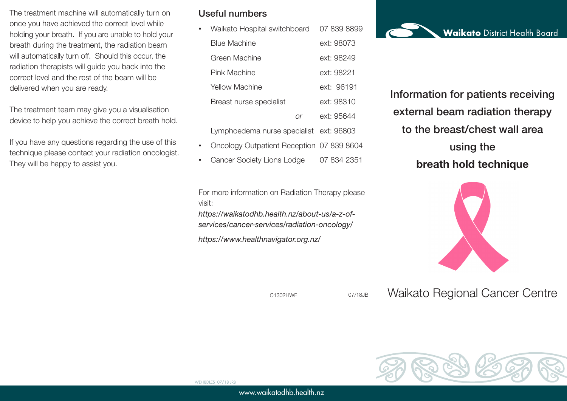The treatment machine will automatically turn on once you have achieved the correct level while holding your breath. If you are unable to hold your breath during the treatment, the radiation beam will automatically turn off. Should this occur, the radiation therapists will guide you back into the correct level and the rest of the beam will be delivered when you are ready.

The treatment team may give you a visualisation device to help you achieve the correct breath hold.

If you have any questions regarding the use of this technique please contact your radiation oncologist. They will be happy to assist you.

## Useful numbers

• Waikato Hospital switchboard 07 839 8899 Blue Machine ext: 98073 Green Machine ext: 98249 Pink Machine **Ext: 98221** Yellow Machine ext: 96191 Breast nurse specialist ext: 98310 *or* ext: 95644

Lymphoedema nurse specialist ext: 96803

- Oncology Outpatient Reception 07 839 8604
- Cancer Society Lions Lodge 07 834 2351

For more information on Radiation Therapy please visit:

*https://waikatodhb.health.nz/about-us/a-z-ofservices/cancer-services/radiation-oncology/*

*https://www.healthnavigator.org.nz/*

C1302HWF 07/18JB

www.waikatodhb.health.nz

Information for patients receiving external beam radiation therapy to the breast/chest wall area using the **breath hold technique**



Waikato Regional Cancer Centre